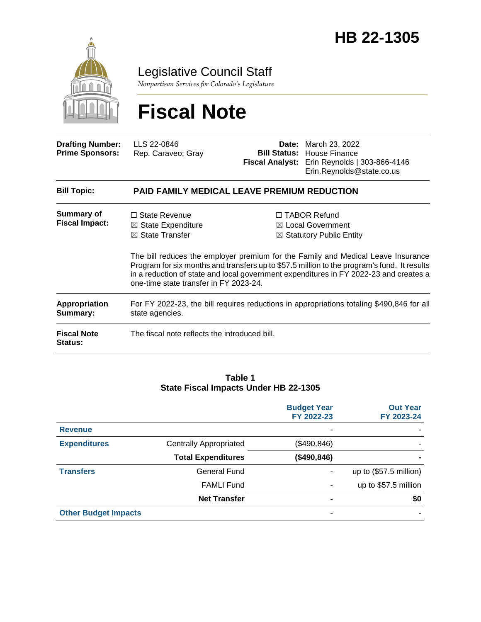

Legislative Council Staff

*Nonpartisan Services for Colorado's Legislature*

# **Fiscal Note**

| <b>Drafting Number:</b><br><b>Prime Sponsors:</b> | LLS 22-0846<br>Rep. Caraveo; Gray                                                                                                                                                                                                                                                                                  | Date: | March 23, 2022<br><b>Bill Status: House Finance</b><br>Fiscal Analyst: Erin Reynolds   303-866-4146<br>Erin.Reynolds@state.co.us |  |
|---------------------------------------------------|--------------------------------------------------------------------------------------------------------------------------------------------------------------------------------------------------------------------------------------------------------------------------------------------------------------------|-------|----------------------------------------------------------------------------------------------------------------------------------|--|
| <b>Bill Topic:</b>                                | <b>PAID FAMILY MEDICAL LEAVE PREMIUM REDUCTION</b>                                                                                                                                                                                                                                                                 |       |                                                                                                                                  |  |
| Summary of<br><b>Fiscal Impact:</b>               | $\Box$ State Revenue<br>$\boxtimes$ State Expenditure<br>$\boxtimes$ State Transfer                                                                                                                                                                                                                                |       | □ TABOR Refund<br>$\boxtimes$ Local Government<br>$\boxtimes$ Statutory Public Entity                                            |  |
|                                                   | The bill reduces the employer premium for the Family and Medical Leave Insurance<br>Program for six months and transfers up to \$57.5 million to the program's fund. It results<br>in a reduction of state and local government expenditures in FY 2022-23 and creates a<br>one-time state transfer in FY 2023-24. |       |                                                                                                                                  |  |
| Appropriation<br>Summary:                         | For FY 2022-23, the bill requires reductions in appropriations totaling \$490,846 for all<br>state agencies.                                                                                                                                                                                                       |       |                                                                                                                                  |  |
| <b>Fiscal Note</b><br>Status:                     | The fiscal note reflects the introduced bill.                                                                                                                                                                                                                                                                      |       |                                                                                                                                  |  |

#### **Table 1 State Fiscal Impacts Under HB 22-1305**

|                             |                               | <b>Budget Year</b><br>FY 2022-23 | <b>Out Year</b><br>FY 2023-24 |
|-----------------------------|-------------------------------|----------------------------------|-------------------------------|
| <b>Revenue</b>              |                               |                                  |                               |
| <b>Expenditures</b>         | <b>Centrally Appropriated</b> | (\$490, 846)                     |                               |
|                             | <b>Total Expenditures</b>     | (\$490, 846)                     |                               |
| <b>Transfers</b>            | <b>General Fund</b>           |                                  | up to (\$57.5 million)        |
|                             | <b>FAMLI Fund</b>             |                                  | up to \$57.5 million          |
|                             | <b>Net Transfer</b>           |                                  | \$0                           |
| <b>Other Budget Impacts</b> |                               |                                  |                               |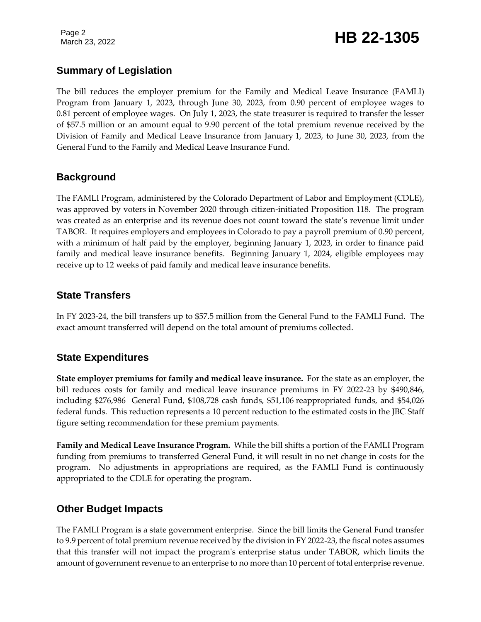## March 23, 2022 **HB 22-1305**

#### **Summary of Legislation**

The bill reduces the employer premium for the Family and Medical Leave Insurance (FAMLI) Program from January 1, 2023, through June 30, 2023, from 0.90 percent of employee wages to 0.81 percent of employee wages. On July 1, 2023, the state treasurer is required to transfer the lesser of \$57.5 million or an amount equal to 9.90 percent of the total premium revenue received by the Division of Family and Medical Leave Insurance from January 1, 2023, to June 30, 2023, from the General Fund to the Family and Medical Leave Insurance Fund.

#### **Background**

The FAMLI Program, administered by the Colorado Department of Labor and Employment (CDLE), was approved by voters in November 2020 through citizen-initiated Proposition 118. The program was created as an enterprise and its revenue does not count toward the state's revenue limit under TABOR. It requires employers and employees in Colorado to pay a payroll premium of 0.90 percent, with a minimum of half paid by the employer, beginning January 1, 2023, in order to finance paid family and medical leave insurance benefits. Beginning January 1, 2024, eligible employees may receive up to 12 weeks of paid family and medical leave insurance benefits.

#### **State Transfers**

In FY 2023-24, the bill transfers up to \$57.5 million from the General Fund to the FAMLI Fund. The exact amount transferred will depend on the total amount of premiums collected.

### **State Expenditures**

**State employer premiums for family and medical leave insurance.** For the state as an employer, the bill reduces costs for family and medical leave insurance premiums in FY 2022-23 by \$490,846, including \$276,986 General Fund, \$108,728 cash funds, \$51,106 reappropriated funds, and \$54,026 federal funds. This reduction represents a 10 percent reduction to the estimated costs in the JBC Staff figure setting recommendation for these premium payments.

**Family and Medical Leave Insurance Program.** While the bill shifts a portion of the FAMLI Program funding from premiums to transferred General Fund, it will result in no net change in costs for the program. No adjustments in appropriations are required, as the FAMLI Fund is continuously appropriated to the CDLE for operating the program.

#### **Other Budget Impacts**

The FAMLI Program is a state government enterprise. Since the bill limits the General Fund transfer to 9.9 percent of total premium revenue received by the division in FY 2022-23, the fiscal notes assumes that this transfer will not impact the program's enterprise status under TABOR, which limits the amount of government revenue to an enterprise to no more than 10 percent of total enterprise revenue.